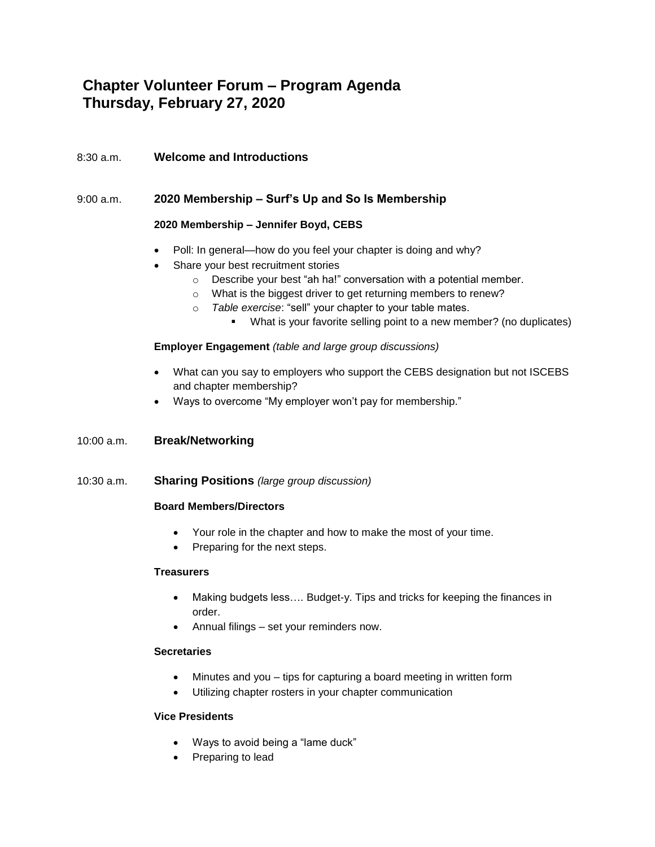# **Chapter Volunteer Forum – Program Agenda Thursday, February 27, 2020**

# 8:30 a.m. **Welcome and Introductions**

## 9:00 a.m. **2020 Membership – Surf's Up and So Is Membership**

## **2020 Membership – Jennifer Boyd, CEBS**

- Poll: In general—how do you feel your chapter is doing and why?
- Share your best recruitment stories
	- o Describe your best "ah ha!" conversation with a potential member.
	- o What is the biggest driver to get returning members to renew?
	- o *Table exercise*: "sell" your chapter to your table mates.
		- What is your favorite selling point to a new member? (no duplicates)

#### **Employer Engagement** *(table and large group discussions)*

- What can you say to employers who support the CEBS designation but not ISCEBS and chapter membership?
- Ways to overcome "My employer won't pay for membership."

## 10:00 a.m. **Break/Networking**

10:30 a.m. **Sharing Positions** *(large group discussion)*

#### **Board Members/Directors**

- Your role in the chapter and how to make the most of your time.
- Preparing for the next steps.

#### **Treasurers**

- Making budgets less…. Budget-y. Tips and tricks for keeping the finances in order.
- Annual filings set your reminders now.

#### **Secretaries**

- Minutes and you tips for capturing a board meeting in written form
- Utilizing chapter rosters in your chapter communication

#### **Vice Presidents**

- Ways to avoid being a "lame duck"
- Preparing to lead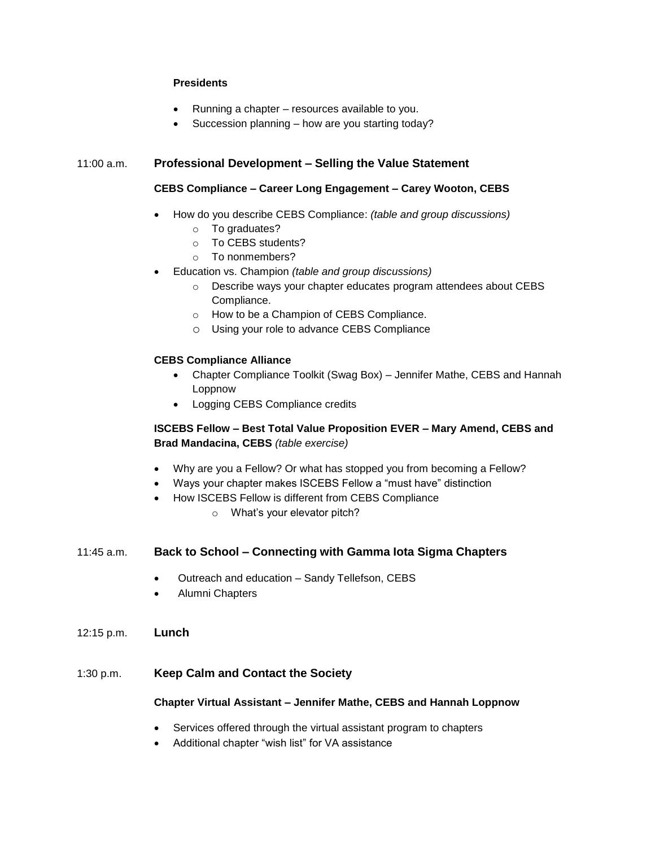#### **Presidents**

- Running a chapter resources available to you.
- Succession planning how are you starting today?

## 11:00 a.m. **Professional Development – Selling the Value Statement**

## **CEBS Compliance – Career Long Engagement – Carey Wooton, CEBS**

- How do you describe CEBS Compliance: *(table and group discussions)*
	- o To graduates?
	- o To CEBS students?
	- o To nonmembers?
- Education vs. Champion *(table and group discussions)*
	- o Describe ways your chapter educates program attendees about CEBS Compliance.
	- o How to be a Champion of CEBS Compliance.
	- o Using your role to advance CEBS Compliance

## **CEBS Compliance Alliance**

- Chapter Compliance Toolkit (Swag Box) Jennifer Mathe, CEBS and Hannah Loppnow
- Logging CEBS Compliance credits

## **ISCEBS Fellow – Best Total Value Proposition EVER – Mary Amend, CEBS and Brad Mandacina, CEBS** *(table exercise)*

- Why are you a Fellow? Or what has stopped you from becoming a Fellow?
- Ways your chapter makes ISCEBS Fellow a "must have" distinction
- How ISCEBS Fellow is different from CEBS Compliance
	- o What's your elevator pitch?

## 11:45 a.m. **Back to School – Connecting with Gamma Iota Sigma Chapters**

- Outreach and education Sandy Tellefson, CEBS
- Alumni Chapters
- 12:15 p.m. **Lunch**

## 1:30 p.m. **Keep Calm and Contact the Society**

#### **Chapter Virtual Assistant – Jennifer Mathe, CEBS and Hannah Loppnow**

- Services offered through the virtual assistant program to chapters
- Additional chapter "wish list" for VA assistance